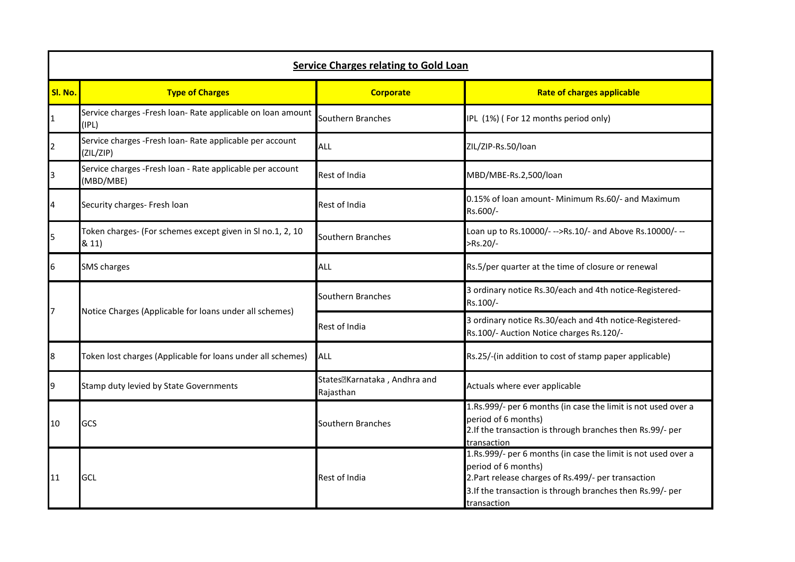| <b>Service Charges relating to Gold Loan</b> |                                                                         |                                                          |                                                                                                                                                                                                                           |  |  |  |
|----------------------------------------------|-------------------------------------------------------------------------|----------------------------------------------------------|---------------------------------------------------------------------------------------------------------------------------------------------------------------------------------------------------------------------------|--|--|--|
| Sl. No.                                      | <b>Type of Charges</b>                                                  | <b>Corporate</b>                                         | <b>Rate of charges applicable</b>                                                                                                                                                                                         |  |  |  |
| $\overline{1}$                               | Service charges - Fresh loan- Rate applicable on loan amount<br>(IPL)   | Southern Branches                                        | IPL (1%) (For 12 months period only)                                                                                                                                                                                      |  |  |  |
| $\overline{2}$                               | Service charges - Fresh loan- Rate applicable per account<br>(ZIL/ZIP)  | ALL                                                      | ZIL/ZIP-Rs.50/loan                                                                                                                                                                                                        |  |  |  |
| 3                                            | Service charges - Fresh loan - Rate applicable per account<br>(MBD/MBE) | Rest of India                                            | MBD/MBE-Rs.2,500/loan                                                                                                                                                                                                     |  |  |  |
| 4                                            | Security charges- Fresh loan                                            | Rest of India                                            | 0.15% of loan amount- Minimum Rs.60/- and Maximum<br>Rs.600/-                                                                                                                                                             |  |  |  |
| 5                                            | Token charges- (For schemes except given in SI no.1, 2, 10<br>& 11)     | Southern Branches                                        | Loan up to Rs.10000/--->Rs.10/- and Above Rs.10000/---<br>$>Rs.20/-$                                                                                                                                                      |  |  |  |
| 6                                            | <b>SMS</b> charges                                                      | ALL                                                      | Rs.5/per quarter at the time of closure or renewal                                                                                                                                                                        |  |  |  |
| $\overline{7}$                               | Notice Charges (Applicable for loans under all schemes)                 | Southern Branches                                        | 3 ordinary notice Rs.30/each and 4th notice-Registered-<br>Rs.100/-                                                                                                                                                       |  |  |  |
|                                              |                                                                         | Rest of India                                            | 3 ordinary notice Rs.30/each and 4th notice-Registered-<br>Rs.100/- Auction Notice charges Rs.120/-                                                                                                                       |  |  |  |
| 8                                            | Token lost charges (Applicable for loans under all schemes)             | ALL                                                      | Rs.25/-(in addition to cost of stamp paper applicable)                                                                                                                                                                    |  |  |  |
| 9                                            | Stamp duty levied by State Governments                                  | States <sup>[2]</sup> Karnataka, Andhra and<br>Rajasthan | Actuals where ever applicable                                                                                                                                                                                             |  |  |  |
| 10                                           | GCS                                                                     | Southern Branches                                        | 1.Rs.999/- per 6 months (in case the limit is not used over a<br>period of 6 months)<br>2. If the transaction is through branches then Rs.99/- per<br>transaction                                                         |  |  |  |
| 11                                           | GCL                                                                     | Rest of India                                            | 1.Rs.999/- per 6 months (in case the limit is not used over a<br>period of 6 months)<br>2. Part release charges of Rs. 499/- per transaction<br>3. If the transaction is through branches then Rs.99/- per<br>transaction |  |  |  |